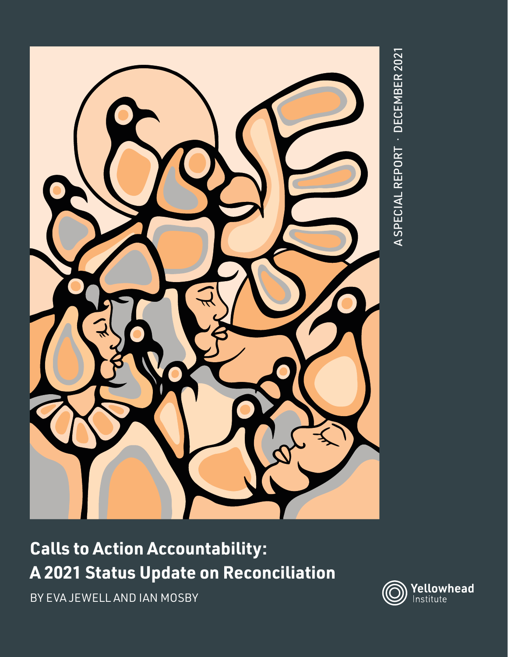

# **Calls to Action Accountability: A 2021 Status Update on Reconciliation**

BY EVA JEWELL AND IAN MOSBY

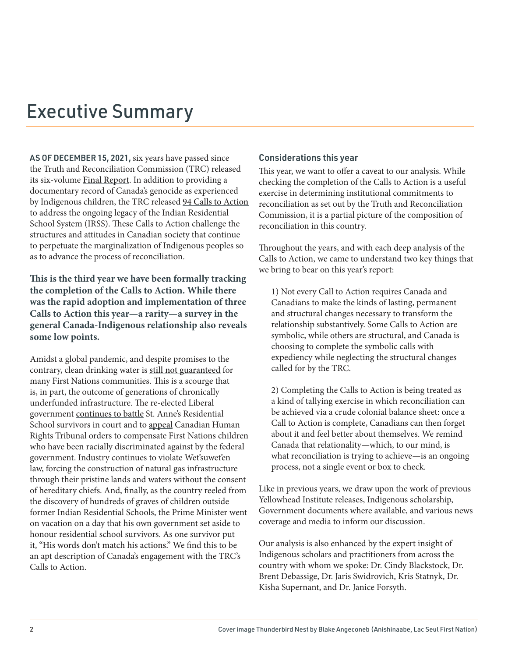## Executive Summary

AS OF DECEMBER 15, 2021, six years have passed since the Truth and Reconciliation Commission (TRC) released its six-volume [Final Report](https://nctr.ca/records/reports/). In addition to providing a documentary record of Canada's genocide as experienced by Indigenous children, the TRC released [94 Calls to Action](https://ehprnh2mwo3.exactdn.com/wp-content/uploads/2021/01/Calls_to_Action_English2.pdf )  to address the ongoing legacy of the Indian Residential School System (IRSS). These Calls to Action challenge the structures and attitudes in Canadian society that continue to perpetuate the marginalization of Indigenous peoples so as to advance the process of reconciliation.

**This is the third year we have been formally tracking the completion of the Calls to Action. While there was the rapid adoption and implementation of three Calls to Action this year—a rarity—a survey in the general Canada-Indigenous relationship also reveals some low points.** 

Amidst a global pandemic, and despite promises to the contrary, clean drinking water is [still not guaranteed](https://www.theglobeandmail.com/canada/article-ottawa-pressed-to-make-good-on-promise-to-end-all-long-term-drinking/) for many First Nations communities. This is a scourge that is, in part, the outcome of generations of chronically underfunded infrastructure. The re-elected Liberal government [continues to battle](https://www.cbc.ca/news/indigenous/st-annes-review-compensation-1.6161642) St. Anne's Residential School survivors in court and to [appeal](https://www.cbc.ca/news/canada/saskatchewan/opinion-andre-bear-children-discriminate-canada-1.6241047) Canadian Human Rights Tribunal orders to compensate First Nations children who have been racially discriminated against by the federal government. Industry continues to violate Wet'suwet'en law, forcing the construction of natural gas infrastructure through their pristine lands and waters without the consent of hereditary chiefs. And, finally, as the country reeled from the discovery of hundreds of graves of children outside former Indian Residential Schools, the Prime Minister went on vacation on a day that his own government set aside to honour residential school survivors. As one survivor put it, ["His words don't match his actions."](https://www.cbc.ca/news/politics/residential-school-survivor-trudeau-travel-1.6196990) We find this to be an apt description of Canada's engagement with the TRC's Calls to Action.

#### Considerations this year

This year, we want to offer a caveat to our analysis. While checking the completion of the Calls to Action is a useful exercise in determining institutional commitments to reconciliation as set out by the Truth and Reconciliation Commission, it is a partial picture of the composition of reconciliation in this country.

Throughout the years, and with each deep analysis of the Calls to Action, we came to understand two key things that we bring to bear on this year's report:

1) Not every Call to Action requires Canada and Canadians to make the kinds of lasting, permanent and structural changes necessary to transform the relationship substantively. Some Calls to Action are symbolic, while others are structural, and Canada is choosing to complete the symbolic calls with expediency while neglecting the structural changes called for by the TRC.

2) Completing the Calls to Action is being treated as a kind of tallying exercise in which reconciliation can be achieved via a crude colonial balance sheet: once a Call to Action is complete, Canadians can then forget about it and feel better about themselves. We remind Canada that relationality—which, to our mind, is what reconciliation is trying to achieve—is an ongoing process, not a single event or box to check.

Like in previous years, we draw upon the work of previous Yellowhead Institute releases, Indigenous scholarship, Government documents where available, and various news coverage and media to inform our discussion.

Our analysis is also enhanced by the expert insight of Indigenous scholars and practitioners from across the country with whom we spoke: Dr. Cindy Blackstock, Dr. Brent Debassige, Dr. Jaris Swidrovich, Kris Statnyk, Dr. Kisha Supernant, and Dr. Janice Forsyth.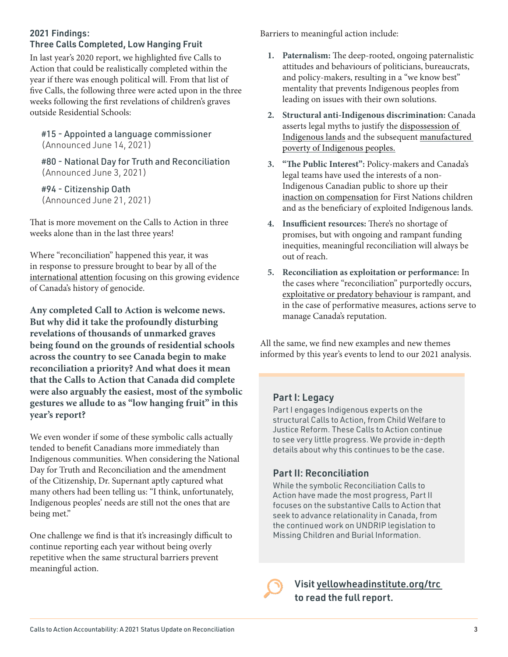## 2021 Findings:

Three Calls Completed, Low Hanging Fruit

In last year's 2020 report, we highlighted five Calls to Action that could be realistically completed within the year if there was enough political will. From that list of five Calls, the following three were acted upon in the three weeks following the first revelations of children's graves outside Residential Schools:

#15 - Appointed a language commissioner (Announced June 14, 2021)

#80 - National Day for Truth and Reconciliation (Announced June 3, 2021)

#94 - Citizenship Oath (Announced June 21, 2021)

That is more movement on the Calls to Action in three weeks alone than in the last three years!

Where "reconciliation" happened this year, it was in response to pressure brought to bear by all of the [international](https://www.nytimes.com/2021/05/28/world/canada/kamloops-mass-grave-residential-schools.html) [attention](https://www.theguardian.com/world/2021/may/28/canada-remains-indigenous-children-mass-graves) focusing on this growing evidence of Canada's history of genocide.

**Any completed Call to Action is welcome news. But why did it take the profoundly disturbing revelations of thousands of unmarked graves being found on the grounds of residential schools across the country to see Canada begin to make reconciliation a priority? And what does it mean that the Calls to Action that Canada did complete were also arguably the easiest, most of the symbolic gestures we allude to as "low hanging fruit" in this year's report?** 

We even wonder if some of these symbolic calls actually tended to benefit Canadians more immediately than Indigenous communities. When considering the National Day for Truth and Reconciliation and the amendment of the Citizenship, Dr. Supernant aptly captured what many others had been telling us: "I think, unfortunately, Indigenous peoples' needs are still not the ones that are being met."

One challenge we find is that it's increasingly difficult to continue reporting each year without being overly repetitive when the same structural barriers prevent meaningful action.

Barriers to meaningful action include:

- **1. Paternalism:** The deep-rooted, ongoing paternalistic attitudes and behaviours of politicians, bureaucrats, and policy-makers, resulting in a "we know best" mentality that prevents Indigenous peoples from leading on issues with their own solutions.
- **2. Structural anti-Indigenous discrimination:** Canada asserts legal myths to justify the [dispossession of](https://redpaper.yellowheadinstitute.org/)  [Indigenous lands](https://redpaper.yellowheadinstitute.org/) and the subsequent [manufactured](https://cashback.yellowheadinstitute.org/)  [poverty of Indigenous peoples.](https://cashback.yellowheadinstitute.org/)
- **3. "The Public Interest":** Policy-makers and Canada's legal teams have used the interests of a non-Indigenous Canadian public to shore up their [inaction on compensation](https://www.aptnnews.ca/national-news/federal-government-jumped-the-gun-by-appealing-human-rights-tribunal-compensation-ruling/) for First Nations children and as the beneficiary of exploited Indigenous lands.
- **4. Insufficient resources:** There's no shortage of promises, but with ongoing and rampant funding inequities, meaningful reconciliation will always be out of reach.
- **5. Reconciliation as exploitation or performance:** In the cases where "reconciliation" purportedly occurs, [exploitative or predatory behaviour](https://yellowheadinstitute.org/a-culture-of-exploitation-reconciliation-and-the-institutions-of-canadian-art/) is rampant, and in the case of performative measures, actions serve to manage Canada's reputation.

All the same, we find new examples and new themes informed by this year's events to lend to our 2021 analysis.

### Part I: Legacy

Part I engages Indigenous experts on the structural Calls to Action, from Child Welfare to Justice Reform. These Calls to Action continue to see very little progress. We provide in-depth details about why this continues to be the case.

### Part II: Reconciliation

While the symbolic Reconciliation Calls to Action have made the most progress, Part II focuses on the substantive Calls to Action that seek to advance relationality in Canada, from the continued work on UNDRIP legislation to Missing Children and Burial Information.

Visit [yellowheadinstitute.org/trc](http://yellowheadinstitute.org/trc )  to read the full report.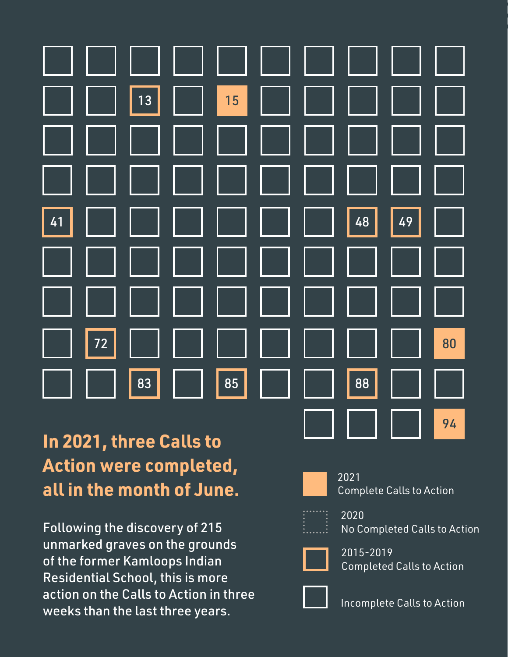

## **In 2021, three Calls to Action were completed, all in the month of June.**

Following the discovery of 215 unmarked graves on the grounds of the former Kamloops Indian Residential School, this is more action on the Calls to Action in three weeks than the last three years.



2021 Complete Calls to Action



2020 No Completed Calls to Action



2015-2019 Completed Calls to Action



Incomplete Calls to Action